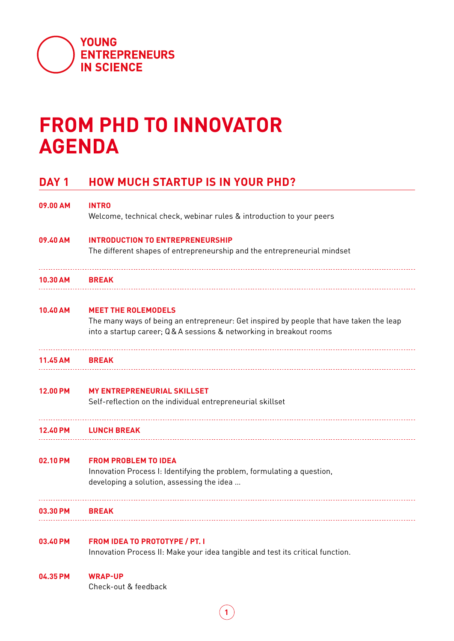

## **FROM PHD TO INNOVATOR AGENDA**

## **DAY 1 HOW MUCH STARTUP IS IN YOUR PHD?**

| 09.00 AM        | <b>INTRO</b><br>Welcome, technical check, webinar rules & introduction to your peers                                                                                                        |
|-----------------|---------------------------------------------------------------------------------------------------------------------------------------------------------------------------------------------|
| 09.40 AM        | <b>INTRODUCTION TO ENTREPRENEURSHIP</b><br>The different shapes of entrepreneurship and the entrepreneurial mindset                                                                         |
| 10.30 AM        | <b>BREAK</b>                                                                                                                                                                                |
| 10.40 AM        | <b>MEET THE ROLEMODELS</b><br>The many ways of being an entrepreneur: Get inspired by people that have taken the leap<br>into a startup career; Q&A sessions & networking in breakout rooms |
| 11.45 AM        | <b>BREAK</b>                                                                                                                                                                                |
| <b>12.00 PM</b> | <b>MY ENTREPRENEURIAL SKILLSET</b><br>Self-reflection on the individual entrepreneurial skillset                                                                                            |
| 12.40 PM        | <b>LUNCH BREAK</b>                                                                                                                                                                          |
| 02.10 PM        | <b>FROM PROBLEM TO IDEA</b><br>Innovation Process I: Identifying the problem, formulating a question,<br>developing a solution, assessing the idea                                          |
| 03.30 PM        | <b>BREAK</b>                                                                                                                                                                                |
| 03.40 PM        | <b>FROM IDEA TO PROTOTYPE / PT. I</b><br>Innovation Process II: Make your idea tangible and test its critical function.                                                                     |
| 04.35 PM        | <b>WRAP-UP</b><br>Check-out & feedback                                                                                                                                                      |